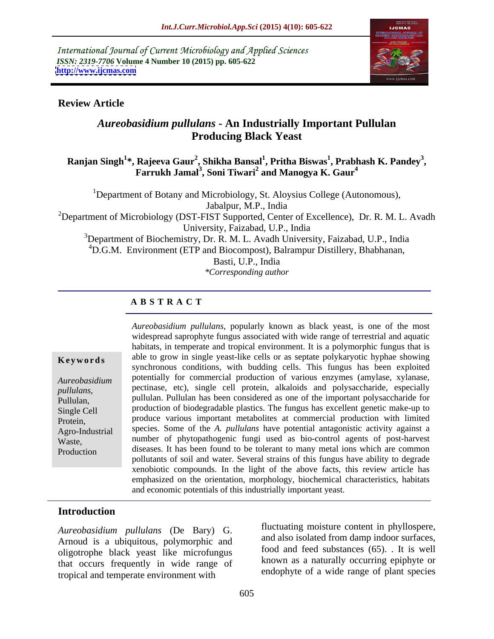International Journal of Current Microbiology and Applied Sciences *ISSN: 2319-7706* **Volume 4 Number 10 (2015) pp. 605-622 <http://www.ijcmas.com>**



### **Review Article**

# *Aureobasidium pullulans* **- An Industrially Important Pullulan Producing Black Yeast**

### **Ranjan Singh<sup>1</sup> \*, Rajeeva Gaur<sup>2</sup> , Shikha Bansal<sup>1</sup> , Pritha Biswas<sup>1</sup> , Farrukh Jamal3 , Prabhash K. Pandey<sup>3</sup>** Farrukh Jamal<sup>3</sup>, Soni Tiwari<sup>2</sup> and Manogya K. Gaur<sup>4</sup> **and Manogya K. Gaur<sup>4</sup>**

<sup>1</sup>Department of Botany and Microbiology, St. Aloysius College (Autonomous), Jabalpur, M.P., India

<sup>2</sup>Department of Microbiology (DST-FIST Supported, Center of Excellence), Dr. R. M. L. Avadh University, Faizabad, U.P., India

 $3$ Department of Biochemistry, Dr. R. M. L. Avadh University, Faizabad, U.P., India

 ${}^{4}$ D.G.M. Environment (ETP and Biocompost), Balrampur Distillery, Bhabhanan,

Basti, U.P., India

*\*Corresponding author*

# **A B S T R A C T**

Production

*Aureobasidium pullulans*, popularly known as black yeast, is one of the most widespread saprophyte fungus associated with wide range of terrestrial and aquatic habitats, in temperate and tropical environment. It is a polymorphic fungus that is **Keywords** able to grow in single yeast-like cells or as septate polykaryotic hyphae showing synchronous conditions, with budding cells. This fungus has been exploited potentially for commercial production of various enzymes (amylase, xylanase, *Aureobasidium*  pullulans, pectinase, etc), single cell protein, alkaloids and polysaccharide, especially pullulan, pullulan. Pullulan has been considered as one of the important polysaccharide for production of biodegradable plastics. The fungus has excellent genetic make-up to Single Cell produce various important metabolites at commercial production with limited Protein, species. Some of the *A. pullulans* have potential antagonistic activity against a Agro-Industrial Waste, number of phytopathogenic fungi used as bio-control agents of post-harvest diseases. It has been found to be tolerant to many metal ions which are common pollutants of soil and water. Several strains of this fungus have ability to degrade xenobiotic compounds. In the light of the above facts, this review article has emphasized on the orientation, morphology, biochemical characteristics, habitats and economic potentials of this industrially important yeast.

### **Introduction**

*Aureobasidium pullulans* (De Bary) G. Arnoud is a ubiquitous, polymorphic and oligotrophe black yeast like microfungus that occurs frequently in wide range of tropical and temperate environment with

fluctuating moisture content in phyllospere, and also isolated from damp indoor surfaces, food and feed substances (65). . It is well known as a naturally occurring epiphyte or endophyte of a wide range of plant species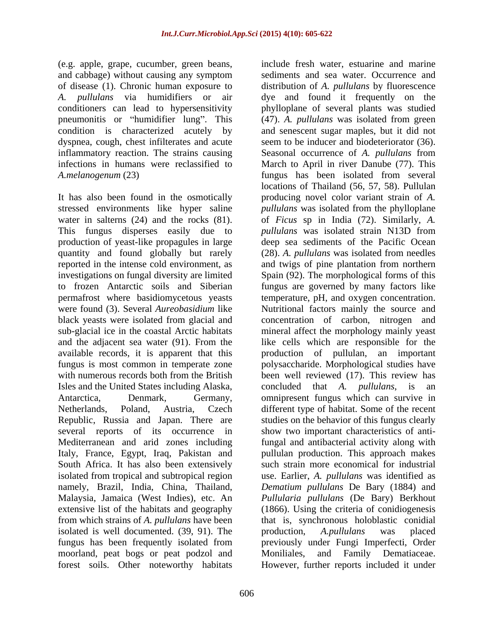(e.g. apple, grape, cucumber, green beans, and cabbage) without causing any symptom conditioners can lead to hypersensitivity pneumonitis or "humidifier lung". This condition is characterized acutely by dyspnea, cough, chest infilterates and acute *A.melanogenum* (23)

It has also been found in the osmotically and the adjacent sea water (91). From the Isles and the United States including Alaska, concluded that A. *pullulans*, is an several reports of its occurrence in Italy, France, Egypt, Iraq, Pakistan and South Africa. It has also been extensively isolated is well documented. (39, 91). The production, A.pullulans was placed moorland, peat bogs or peat podzol and Moniliales,<br>forest soils. Other noteworthy habitats However, fu forest soils. Other noteworthy habitats However, further reports included it under

of disease (1). Chronic human exposure to distribution of *A. pullulans* by fluorescence *A. pullulans* via humidifiers or air dye and found it frequently on the inflammatory reaction. The strains causing Seasonal occurrence of *A. pullulans* from infections in humans were reclassified to March to April in river Danube (77). This stressed environments like hyper saline *pullulans* was isolated from the phylloplane water in salterns (24) and the rocks (81). of *Ficus* sp in India (72). Similarly, *A*. This fungus disperses easily due to *pullulans* was isolated strain N13D from production of yeast-like propagules in large deep sea sediments of the Pacific Ocean quantity and found globally but rarely (28). *A. pullulans* was isolated from needles reported in the intense cold environment, as and twigs of pine plantation from northern investigations on fungal diversity are limited Spain (92). The morphological forms of this to frozen Antarctic soils and Siberian fungus are governed by many factors like permafrost where basidiomycetous yeasts temperature, pH, and oxygen concentration. were found (3). Several *Aureobasidium* like Nutritional factors mainly the source and black yeasts were isolated from glacial and concentration of carbon, nitrogen and sub-glacial ice in the coastal Arctic habitats mineral affect the morphology mainly yeast available records, it is apparent that this production of pullulan, an important fungus is most common in temperate zone polysaccharide. Morphological studies have with numerous records both from the British been well reviewed (17). This review has Antarctica, Denmark, Germany, omnipresent fungus which can survive in Netherlands, Poland, Austria, Czech different type of habitat. Some of the recent Republic, Russia and Japan. There are studies on the behavior of this fungus clearly Mediterranean and arid zones including fungal and antibacterial activity along with isolated from tropical and subtropical region use. Earlier, *A. pullulans* was identified as namely*,* Brazil, India, China, Thailand, *Dematium pullulans* De Bary (1884) and Malaysia, Jamaica (West Indies), etc. An *Pullularia pullulans* (De Bary) Berkhout extensive list of the habitats and geography (1866). Using the criteria of conidiogenesis from which strains of *A. pullulans* have been that is, synchronous holoblastic conidial fungus has been frequently isolated from include fresh water, estuarine and marine sediments and sea water. Occurrence and phylloplane of several plants was studied (47). *A. pullulans* was isolated from green and senescent sugar maples, but it did not seem to be inducer and biodeteriorator (36). fungus has been isolated from several locations of Thailand (56, 57, 58). Pullulan producing novel color variant strain of *A.* like cells which are responsible for the concluded that *A. pullulans*, is an show two important characteristics of antipullulan production. This approach makes such strain more economical for industrial production, *A.pullulans* was placed previously under Fungi Imperfecti, Order and Family Dematiaceae.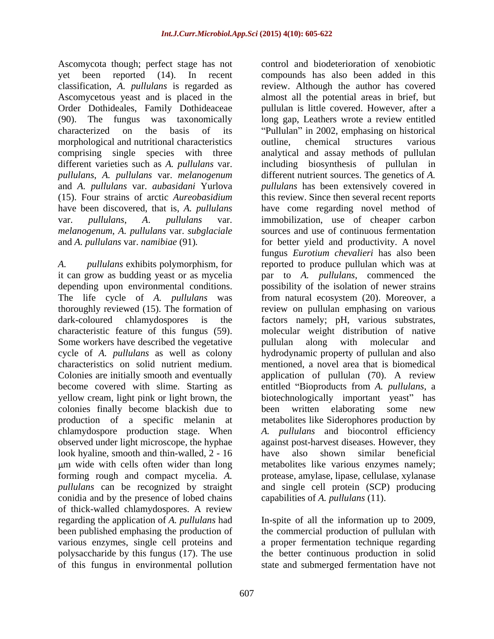Ascomycota though; perfect stage has not yet been reported (14). In recent classification, *A. pullulans* is regarded as morphological and nutritional characteristics outline, chemical structures various

dark-coloured chlamydospores is the factors namely; pH, various substrates, characteristic feature of this fungus (59). Some workers have described the vegetative pullulan along with molecular and colonies finally become blackish due to observed under light microscope, the hyphae look hyaline, smooth and thin-walled, 2 - 16 have also shown similar beneficial conidia and by the presence of lobed chains capabilities of A. pullulans (11). of thick-walled chlamydospores. A review<br>regarding the application of A. *pullulans* had been published emphasing the production of the commercial production of pullulan with various enzymes, single cell proteins and a proper fermentation technique regarding polysaccharide by this fungus (17). The use the better continuous production in solid of this fungus in environmental pollution state and submerged fermentation have not

Ascomycetous yeast and is placed in the almost all the potential areas in brief, but Order Dothideales, Family Dothideaceae pullulan is little covered. However, after a (90). The fungus was taxonomically long gap, Leathers wrote a review entitled characterized on the basis of its "Pullulan" in 2002, emphasing on historical comprising single species with three analytical and assay methods of pullulan different varieties such as *A. pullulans* var. including biosynthesis of pullulan in *pullulans*, *A. pullulans* var. *melanogenum*  different nutrient sources. The genetics of *A.*  and *A. pullulans* var. *aubasidani* Yurlova *pullulans* has been extensively covered in (15). Four strains of arctic *Aureobasidium* this review. Since then several recent reports have been discovered, that is, *A. pullulans* have come regarding novel method of var. *pullulans*, *A*. *pullulans* var. immobilization, use of cheaper carbon *melanogenum*, *A. pullulans* var. *subglaciale*  sources and use of continuous fermentation and *A. pullulans* var. *namibiae* (91)*.* for better yield and productivity. A novel *A. pullulans* exhibits polymorphism, for reported to produce pullulan which was at it can grow as budding yeast or as mycelia par to *A. pullulans*, commenced the depending upon environmental conditions. possibility of the isolation of newer strains The life cycle of *A. pullulans* was from natural ecosystem (20). Moreover, a thoroughly reviewed (15). The formation of review on pullulan emphasing on various cycle of *A. pullulans* as well as colony hydrodynamic property of pullulan and also characteristics on solid nutrient medium. mentioned, a novel area that is biomedical Colonies are initially smooth and eventually application of pullulan (70). A review become covered with slime. Starting as entitled "Bioproducts from *A. pullulans*, a yellow cream, light pink or light brown, the biotechnologically important yeast" has production of a specific melanin at metabolites like Siderophores production by chlamydospore production stage. When *A. pullulans* and biocontrol efficiency m wide with cells often wider than long metabolites like various enzymes namely; forming rough and compact mycelia. *A.* protease, amylase, lipase, cellulase, xylanase pullulans can be recognized by straight and single cell protein (SCP) producing control and biodeterioration of xenobiotic compounds has also been added in this review. Although the author has covered outline, chemical structures various fungus *Eurotium chevalieri* has also been factors namely; pH, various substrates,<br>molecular weight distribution of native pullulan along with molecular and been written elaborating some new against post-harvest diseases. However, they have also shown similar beneficial

In-spite of all the information up to 2009, capabilities of *A. pullulans* (11). In-spite of all the information up to 2009,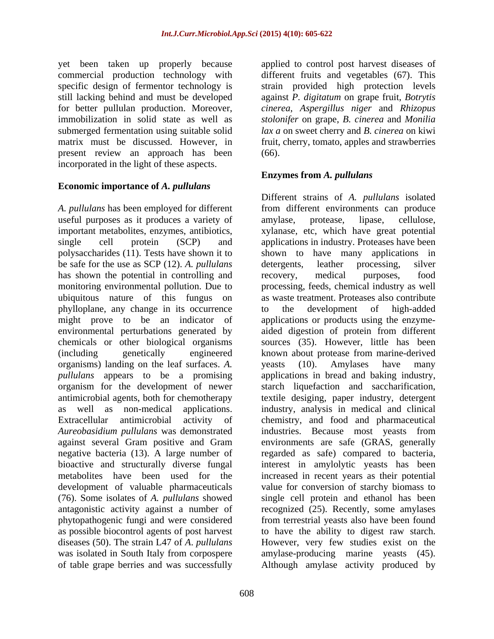yet been taken up properly because present review an approach has been incorporated in the light of these aspects.

### **Economic importance of** *A. pullulans*

*A. pullulans* has been employed for different useful purposes as it produces a variety of amylase, protease, lipase, cellulose, be safe for the use as SCP (12). *A. pullulans*  has shown the potential in controlling and recovery, medical purposes, food phylloplane, any change in its occurrence might prove to be an indicator of organisms) landing on the leaf surfaces. *A. Aureobasidium pullulans* was demonstrated negative bacteria (13). A large number of (76). Some isolates of *A. pullulans* showed of table grape berries and was successfully Although amylase activity produced by

commercial production technology with different fruits and vegetables (67). This specific design of fermentor technology is strain provided high protection levels still lacking behind and must be developed against *P. digitatum* on grape fruit, *Botrytis*  for better pullulan production. Moreover, *cinerea*, *Aspergillus niger* and *Rhizopus*  immobilization in solid state as well as *stolonifer* on grape, *B. cinerea* and *Monilia*  submerged fermentation using suitable solid *lax a* on sweet cherry and *B. cinerea* on kiwi matrix must be discussed. However, in fruit, cherry, tomato, apples and strawberries applied to control post harvest diseases of (66).

# **Enzymes from** *A. pullulans*

important metabolites, enzymes, antibiotics, xylanase, etc, which have great potential single cell protein (SCP) and applications in industry. Proteases have been polysaccharides (11). Tests have shown it to shown to have many applications in monitoring environmental pollution. Due to processing, feeds, chemical industry as well ubiquitous nature of this fungus on as waste treatment. Proteases also contribute environmental perturbations generated by aided digestion of protein from different chemicals or other biological organisms sources (35). However, little has been (including genetically engineered known about protease from marine-derived *pullulans* appears to be a promising applications in bread and baking industry, organism for the development of newer starch liquefaction and saccharification, antimicrobial agents, both for chemotherapy textile desiging, paper industry, detergent as well as non-medical applications. industry, analysis in medical and clinical Extracellular antimicrobial activity of chemistry, and food and pharmaceutical against several Gram positive and Gram environments are safe (GRAS, generally bioactive and structurally diverse fungal interest in amylolytic yeasts has been metabolites have been used for the increased in recent years as their potential development of valuable pharmaceuticals value for conversion of starchy biomass to antagonistic activity against a number of recognized (25). Recently, some amylases phytopathogenic fungi and were considered from terrestrial yeasts also have been found as possible biocontrol agents of post harvest to have the ability to digest raw starch. diseases (50). The strain L47 of *A*. *pullulans*  However, very few studies existon the was isolated in South Italy from corpospere amylase-producing marine yeasts (45). Different strains of *A. pullulans* isolated from different environments can produce amylase, protease, lipase, cellulose, detergents, leather processing, silver recovery, medical purposes, food to the development of high-added applications or products using the enzyme yeasts (10). Amylases have many industries. Because most yeasts from regarded as safe) compared to bacteria, single cell protein and ethanol has been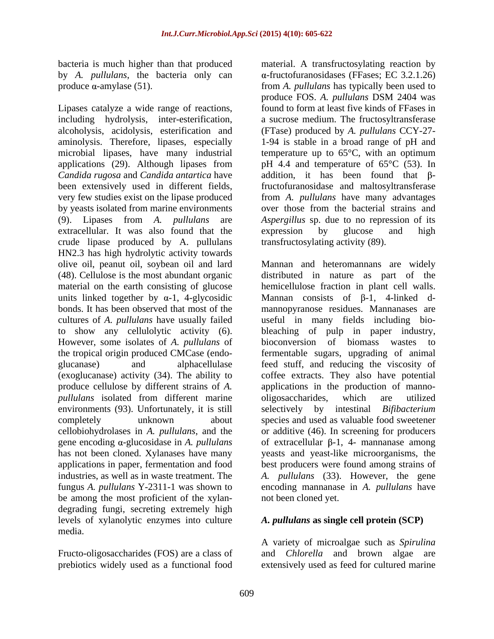bacteria is much higher than that produced material. A transfructosylating reaction by by *A. pullulans*, the bacteria only can produce  $\alpha$ -amylase (51).

Lipases catalyze a wide range of reactions, including hydrolysis, inter-esterification, a sucrose medium. The fructosyltransferase alcoholysis, acidolysis, esterification and (FTase) produced by *A. pullulans* CCY-27 aminolysis. Therefore, lipases, especially 1-94 is stable in a broad range of pH and microbial lipases, have many industrial temperature up to 65°C, with an optimum applications (29). Although lipases from *Candida rugosa* and *Candida antartica* have been extensively used in different fields, fructofuranosidase and maltosyltransferase very few studies exist on the lipase produced from *A. pullulans* have many advantages by yeasts isolated from marine environments (9). Lipases from *A. pullulans* are *Aspergillus* sp. due to no repression of its extracellular. It was also found that the expression by glucose and high crude lipase produced by A. pullulans HN2.3 has high hydrolytic activity towards cultures of *A. pullulans* have usually failed to show any cellulolytic activity (6). However, some isolates of *A. pullulans* of (exoglucanase) activity (34). The ability to *pullulans* isolated from different marine oligosaccharides, which are utilized environments (93). Unfortunately, it is still has not been cloned. Xylanases have many be among the most proficient of the xylan degrading fungi, secreting extremely high<br>levels of xylanolytic enzymes into culture levels of xylanolytic enzymes into culture *A. pullulans* **as single cell protein (SCP)** media.

prebiotics widely used as a functional food

produce α-amylase (51). The from *A. pullulans* has typically been used to -fructofuranosidases (FFases; EC 3.2.1.26) produce FOS. *A. pullulans* DSM 2404 was found to form at least five kinds of FFases in pH 4.4 and temperature of 65°C (53). In addition, it has been found that  $\beta$ over those from the bacterial strains and expression by glucose and high transfructosylating activity (89).

olive oil, peanut oil, soybean oil and lard Mannan and heteromannans are widely (48). Cellulose is the most abundant organic distributed in nature as part of the material on the earth consisting of glucose hemicellulose fraction in plant cell walls. units linked together by  $\alpha$ -1, 4-glycosidic Mannan consists of  $\beta$ -1, 4-linked dbonds. It has been observed that most of the mannopyranose residues. Mannanases are the tropical origin produced CMCase (endo-<br>fermentable sugars, upgrading of animal glucanase) and alphacellulase feed stuff, and reducing the viscosity of produce cellulose by different strains of *A*. applications in the production of mannocompletely unknown about species and used as valuable food sweetener cellobiohydrolases in *A. pullulans*, and the or additive (46). In screening for producers gene encoding  $\alpha$ -glucosidase in *A. pullulans* of extracellular  $\beta$ -1, 4- mannanase among applications in paper, fermentation and food best producers were found among strains of industries, as well as in waste treatment. The *A. pullulans* (33). However, the gene fungus *A. pullulans* Y-2311-1 was shown to encoding mannanase in *A. pullulans* have useful in many fields including bio bleaching of pulp in paper industry, bioconversion of biomass wastes coffee extracts. They also have potential oligosaccharides, which are utilized intestinal *Bifibacterium* yeasts and yeast-like microorganisms, the not been cloned yet.

Fructo-oligosaccharides (FOS) are a class of and *Chlorella* and brown algae are A variety of microalgae such as *Spirulina*  extensively used as feed for cultured marine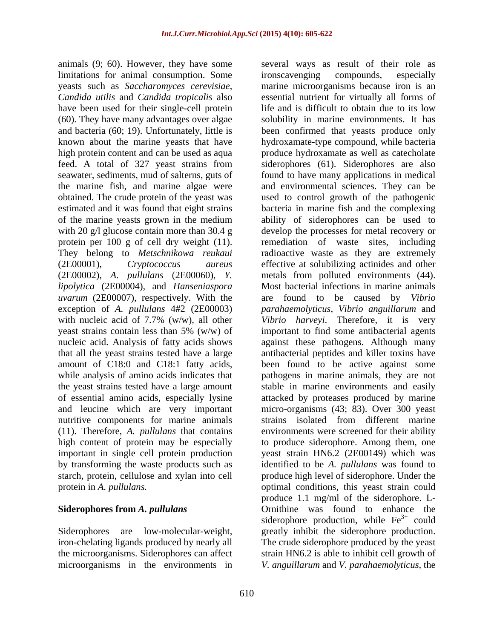animals (9; 60). However, they have some several ways as result of their role as limitations for animal consumption. Some irrorscavenging compounds, especially yeasts such as *Saccharomyces cerevisiae*, marine microorganisms because iron is an *Candida utilis* and *Candida tropicalis* also essential nutrient for virtually all forms of have been used for their single-cell protein life and is difficult to obtain due to its low (60). They have many advantages over algae and bacteria (60; 19). Unfortunately, little is been confirmed that yeasts produce only known about the marine yeasts that have hydroxamate-type compound, while bacteria high protein content and can be used as aqua produce hydroxamate as well as catecholate feed. A total of 327 yeast strains from siderophores (61). Siderophores are also seawater, sediments, mud of salterns, guts of found to have many applications in medical the marine fish, and marine algae were obtained. The crude protein of the yeast was used to control growth of the pathogenic estimated and it was found that eight strains bacteria in marine fish and the complexing of the marine yeasts grown in the medium with 20 g/l glucose contain more than 30.4 g develop the processes for metal recovery or protein per 100 g of cell dry weight (11). remediation of waste sites, including They belong to *Metschnikowa reukaui* radioactive waste as they are extremely (2E00001), *Cryptococcus aureus* effective at solubilizing actinides and other (2E00002), *A. pullulans* (2E00060), *Y.* metals from polluted environments (44). *lipolytica* (2E00004), and *Hanseniaspora uvarum* (2E00007), respectively. With the exception of *A. pullulans* 4#2 (2E00003) *parahaemolyticus*, *Vibrio anguillarum* and with nucleic acid of 7.7% (w/w), all other yeast strains contain less than 5% (w/w) of important to find some antibacterial agents nucleic acid. Analysis of fatty acids shows against these pathogens. Although many that all the yeast strains tested have a large antibacterial peptides and killer toxins have amount of C18:0 and C18:1 fatty acids, been found to be active against some while analysis of amino acids indicates that pathogens in marine animals, they are not the yeast strains tested have a large amount stable in marine environments and easily of essential amino acids, especially lysine attacked by proteases produced by marine and leucine which are very important micro-organisms (43; 83). Over 300 yeast nutritive components for marine animals strains isolated from different marine (11). Therefore, *A. pullulans* that contains high content of protein may be especially to produce siderophore. Among them, one important in single cell protein production yeast strain HN6.2 (2E00149) which was by transforming the waste products such as identified to be *A. pullulans* was found to starch, protein, cellulose and xylan into cell

protein in *A. pullulans*. The second optimal conditions, this yeast strain could **Siderophores from** *A. pullulans* Ornithine was found to enhance the Siderophores are low-molecular-weight, greatly inhibit the siderophore production. iron-chelating ligands produced by nearly all The crude siderophore produced by the yeast the microorganisms. Siderophores can affect strain HN6.2 is able to inhibit cell growth of microorganisms in the environments in *V. anguillarum* and *V. parahaemolyticus*, the ironscavenging compounds, especially life and is difficult to obtain due to its low solubility in marine environments. It has and environmental sciences. They can be ability of siderophores can be used to Most bacterial infections in marine animals are found to be caused by *Vibrio Vibrio harveyi*. Therefore, it is very environments were screened for their ability produce high level of siderophore. Under the produce 1.1 mg/ml of the siderophore. L siderophore production, while  $Fe<sup>3+</sup>$  could could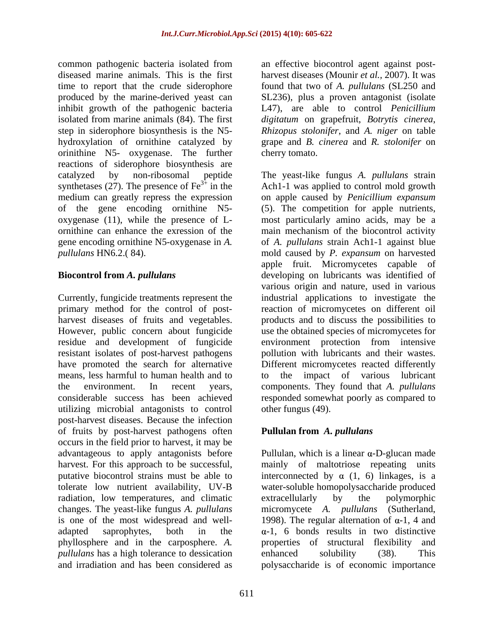common pathogenic bacteria isolated from diseased marine animals. This is the first harvest diseases (Mounir *et al.,* 2007). It was time to report that the crude siderophore found that two of *A. pullulans* (SL250 and produced by the marine-derived yeast can SL236), plus a proven antagonist (isolate inhibit growth of the pathogenic bacteria L47), are able to control *Penicillium*  isolated from marine animals (84). The first *digitatum* on grapefruit, *Botrytis cinerea*, step in siderophore biosynthesis is the N5- *Rhizopus stolonifer*, and *A. niger* on table hydroxylation of ornithine catalyzed by grape and *B. cinerea* and *R. stolonifer* on orinithine N5- oxygenase. The further reactions of siderophore biosynthesis are

means, less harmful to human health and to the impact of various lubricant utilizing microbial antagonists to control post-harvest diseases. Because the infection of fruits by post-harvest pathogens often occurs in the field prior to harvest, it may be advantageous to apply antagonists before  $\qquad$  Pullulan, which is a linear  $\alpha$ -D-glucan made harvest. For this approach to be successful, mainly of maltotriose repeating units putative biocontrol strains must be able to interconnected by  $\alpha$  (1, 6) linkages, is a tolerate low nutrient availability, UV-B water-soluble homopolysaccharide produced radiation, low temperatures, and climatic changes. The yeast-like fungus *A. pullulans* micromycete *A. pullulans* (Sutherland, is one of the most widespread and well- 1998). The regular alternation of  $\alpha$ -1, 4 and adapted saprophytes, both in the  $\alpha-1$ , 6 bonds results in two distinctive phyllosphere and in the carposphere. *A. pullulans* has a high tolerance to dessication enhanced solubility (38). This and irradiation and has been considered as polysaccharide is of economic importance and irradiation and has been considered as polysaccharide is of economic importance

an effective biocontrol agent against postcherry tomato.

catalyzed by non-ribosomal peptide The yeast-like fungus *A. pullulans* strain synthetases (27). The presence of  $\text{Fe}^{3+}$  in the Ach1-1 was applied to control mold growth medium can greatly repress the expression on apple caused by *Penicillium expansum* of the gene encoding ornithine N5- (5). The competition for apple nutrients, oxygenase (11), while the presence of L- most particularly amino acids, may be a ornithine can enhance the exression of the main mechanism of the biocontrol activity gene encoding ornithine N5-oxygenase in *A.*  of *A. pullulans* strain Ach1-1 against blue *pullulans* HN6.2.( 84). mold caused by *P. expansum* on harvested **Biocontrol from** *A. pullulans* developing on lubricants was identified of Currently, fungicide treatments represent the industrial applications to investigate the primary method for the control of post- reaction of micromycetes on different oil harvest diseases of fruits and vegetables. products and to discuss the possibilities to However, public concern about fungicide use the obtained species of micromycetes for residue and development of fungicide environment protection from intensive resistant isolates of post-harvest pathogens pollution with lubricants and their wastes. have promoted the search for alternative Different micromycetes reacted differently the environment. In recent years, components. They found that *A. pullulans* considerable success has been achieved responded somewhat poorly as compared to apple fruit. Micromycetes capable of various origin and nature, used in various to the impact of various lubricant other fungus (49).

# **Pullulan from** *A. pullulans*

extracellularly by the polymorphic properties of structural flexibility and enhanced solubility (38). This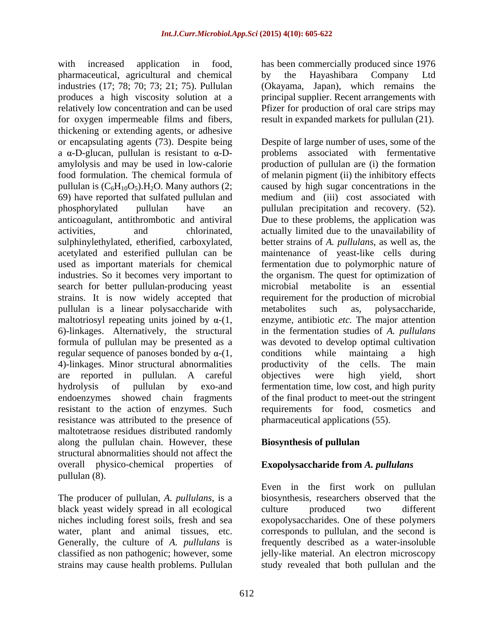with increased application in food, has been commercially produced since 1976 pharmaceutical, agricultural and chemical industries (17; 78; 70; 73; 21; 75). Pullulan (Okayama, Japan), which remains the produces a high viscosity solution at a principal supplier. Recent arrangements with relatively low concentration and can be used Pfizer for production of oral care strips may for oxygen impermeable films and fibers, result in expanded markets for pullulan (21). thickening or extending agents, or adhesive a  $\alpha$ -D-glucan, pullulan is resistant to  $\alpha$ -D- problems search for better pullulan-producing yeast microbial metabolite is an essential pullulan is a linear polysaccharide with regular sequence of panoses bonded by  $\alpha$ -(1, conditions while maintaing a high 4)-linkages. Minor structural abnormalities broductivity of the cells. The main resistance was attributed to the presence of maltotetraose residues distributed randomly along the pullulan chain. However, these structural abnormalities should not affect the overall physico-chemical properties of pullulan (8).

black yeast widely spread in all ecological culture produced two different

by the Hayashibara Company Ltd

or encapsulating agents (73). Despite being Despite of large number of uses, some of the amylolysis and may be used in low-calorie production of pullulan are (i) the formation food formulation. The chemical formula of of melanin pigment (ii) the inhibitory effects pullulan is  $(C_6H_{10}O_5)$ . H<sub>2</sub>O. Many authors (2; caused by high sugar concentrations in the 69) have reported that sulfated pullulan and medium and (iii) cost associated with phosphorylated pullulan have an pullulan precipitation and recovery. (52). anticoagulant, antithrombotic and antiviral Due to these problems, the application was activities, and chlorinated, actually limited due to the unavailability of sulphinylethylated, etherified, carboxylated, better strains of *A. pullulans*, as well as, the acetylated and esterified pullulan can be maintenance of yeast-like cells during used as important materials for chemical fermentation due to polymorphic nature of industries. So it becomes very important to the organism. The quest for optimization of strains. It is now widely accepted that requirement for the production of microbial maltotriosyl repeating units joined by  $\alpha$ - $(1, \alpha)$  enzyme, antibiotic *etc*. The major attention 6)-linkages. Alternatively, the structural in the fermentation studies of *A. pullulans* formula of pullulan may be presented as a was devoted to develop optimal cultivation are reported in pullulan. A careful hydrolysis of pullulan by exo-and fermentation time, low cost, and high purity endoenzymes showed chain fragments of the final product to meet-out the stringent resistant to the action of enzymes. Such requirements for food, cosmetics and associated with fermentative microbial metabolite is an essential metabolites such as, polysaccharide, conditions while maintaing a high productivity of the cells. The objectives were high yield, short pharmaceutical applications (55).

# **Biosynthesis of pullulan**

# **Exopolysaccharide from** *A. pullulans*

The producer of pullulan, *A. pullulans*, is a biosynthesis, researchers observed that the niches including forest soils, fresh and sea exopolysaccharides. One of these polymers water, plant and animal tissues, etc. corresponds to pullulan, and the second is Generally, the culture of *A. pullulans* is frequently described as a water-insoluble classified as non pathogenic; however, some jelly-like material. An electron microscopy strains may cause health problems. Pullulan study revealed that both pullulan and theEven in the first work on pullulan culture produced two different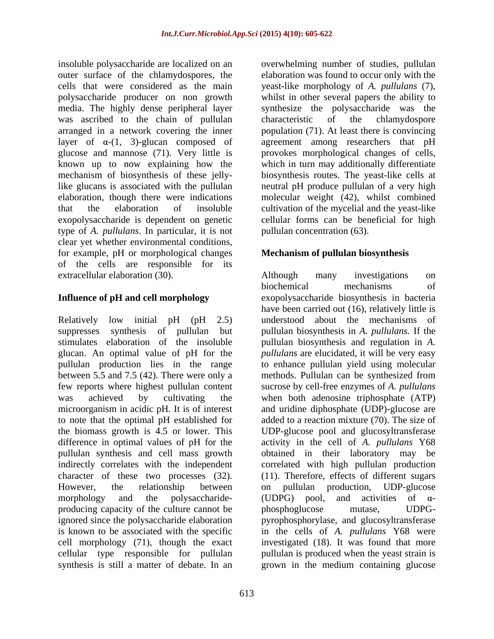insoluble polysaccharide are localized on an overwhelming number of studies, pullulan outer surface of the chlamydospores, the elaboration was found to occur only with the cells that were considered as the main yeast-like morphology of *A. pullulans* (7), polysaccharide producer on non growth whilst in other several papersthe ability to media. The highly dense peripheral layer was ascribed to the chain of pullulan characteristic of the chlamydospore arranged in a network covering the inner population (71). At least there is convincing layer of  $\alpha$ - $(1, 3)$ -glucan composed of agreement among researchers that pH glucose and mannose (71). Very little is provokes morphological changes of cells, known up to now explaining how the which in turn may additionally differentiate mechanism of biosynthesis of these jelly-biosynthesis routes. The yeast-like cells at like glucans is associated with the pullulan and neutral pH produce pullulan of a very high elaboration, though there were indications molecular weight (42), whilst combined that the elaboration of insoluble cultivation of the mycelial and the yeast-like exopolysaccharide is dependent on genetic cellular forms can be beneficial for high type of *A. pullulans*. In particular, it is not clear yet whether environmental conditions,<br>for example, pH or morphological changes **Mechanism of pullulan biosynthesis** of the cells are responsible for its extracellular elaboration (30). Although many investigations on

to note that the optimal pH established for pullulan synthesis and cell mass growth<br>indirectly correlates with the independent producing capacity of the culture cannot be bhosphoglucose mutase, UDPGcell morphology (71), though the exact synthesis is still a matter of debate. In an grown in the medium containing glucose

613

synthesize the polysaccharide was the characteristic of the chlamydospore pullulan concentration (63).

# **Mechanism of pullulan biosynthesis**

**Influence of pH and cell morphology** exopolysaccharide biosynthesis in bacteria Relatively low initial pH (pH 2.5) understood about the mechanisms of suppresses synthesis of pullulan but pullulan biosynthesis in *A. pullulans.* If the stimulates elaboration of the insoluble pullulan biosynthesis and regulation in *A.*  glucan. An optimal value of pH for the *pullulans* are elucidated, it will be very easy pullulan production lies in the range to enhance pullulan yield using molecular between 5.5 and 7.5 (42). There were only a methods. Pullulan can be synthesized from few reports where highest pullulan content sucrose by cell-free enzymes of *A. pullulans* was achieved by cultivating the when both adenosine triphosphate (ATP) microorganism in acidic pH. It is of interest and uridine diphosphate (UDP)-glucose are the biomass growth is 4.5 or lower. This UDP-glucose pool and glucosyltransferase difference in optimal values of pH for the activity in the cell of *A. pullulans* Y68 indirectly correlates with the independent correlated with high pullulan production character of these two processes (32). (11). Therefore, effects of different sugars However, the relationship between on pullulan production, UDP-glucose morphology and the polysaccharide- (UDPG) pool, and activities of  $\alpha$ ignored since the polysaccharide elaboration pyrophosphorylase, and glucosyltransferase is known to be associated with the specific in the cells of *A. pullulans* Y68 were cellular type responsible for pullulan pullulan is produced when the yeast strain is Although many investigations on biochemical mechanisms of have been carried out (16), relatively little is added to a reaction mixture (70). The size of obtained in their laboratory may be on pullulan production, UDP-glucose (UDPG) pool, and activities of  $\alpha$ phosphoglucose mutase, UDPG investigated (18). It was found that more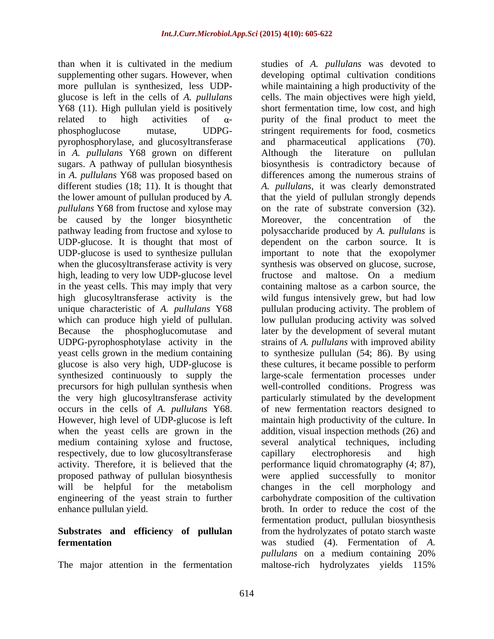than when it is cultivated in the medium studies of *A. pullulans* was devoted to supplementing other sugars. However, when developing optimal cultivation conditions more pullulan is synthesized, less UDP- while maintaining a high productivity of the glucose is left in the cells of *A. pullulans* cells. The main objectives were high yield, Y68 (11). High pullulan yield is positively related to high activities of  $\alpha$ - purity of the final product to meet the phosphoglucose mutase, UDPG- stringent requirements for food, cosmetics pyrophosphorylase, and glucosyltransferase in *A. pullulans* Y68 grown on different sugars. A pathway of pullulan biosynthesis in *A. pullulans* Y68 was proposed based on differences among the numerous strains of different studies (18; 11). It is thought that *A. pullulans*, it was clearly demonstrated the lower amount of pullulan produced by *A. pullulans* Y68 from fructose and xylose may be caused by the longer biosynthetic Moreover, the concentration of the pathway leading from fructose and xylose to UDP-glucose. It is thought that most of dependent on the carbon source. It is UDP-glucose is used to synthesize pullulan important to note that the exopolymer when the glucosyltransferase activity is very synthesis was observed on glucose, sucrose, high, leading to very low UDP-glucose level fructose and maltose. On a medium in the yeast cells. This may imply that very containing maltose as a carbon source, the high glucosyltransferase activity is the wild fungus intensively grew, but had low unique characteristic of *A. pullulans* Y68 pullulan producing activity. The problem of which can produce high yield of pullulan. low pullulan producing activity was solved Because the phosphoglucomutase and UDPG-pyrophosphotylase activity in the strains of *A. pullulans* with improved ability yeast cells grown in the medium containing to synthesize pullulan (54; 86). By using glucose is also very high, UDP-glucose is synthesized continuously to supply the large-scale fermentation processes under precursors for high pullulan synthesis when well-controlled conditions. Progress was the very high glucosyltransferase activity particularly stimulated by the development occurs in the cells of *A. pullulans* Y68. of new fermentation reactors designed to However, high level of UDP-glucose is left maintain high productivity of the culture. In when the yeast cells are grown in the addition, visual inspection methods (26) and medium containing xylose and fructose, several analytical techniques, including respectively, due to low glucosyltransferase capillary electrophoresis and high activity. Therefore, it is believed that the proposed pathway of pullulan biosynthesis were applied successfully to monitor will be helpful for the metabolism changes in the cell morphology and engineering of the yeast strain to further carbohydrate composition of the cultivation

The major attention in the fermentation maltose-rich hydrolyzates yields 115%

enhance pullulan yield. broth. In order to reduce the cost of the **Substrates and efficiency of pullulan** from the hydrolyzates of potato starch waste **fermentation** was studied (4). Fermentation of *A.*  short fermentation time, low cost, and high and pharmaceutical applications (70). Although the literature on pullulan biosynthesis is contradictory because of that the yield of pullulan strongly depends on the rate of substrate conversion  $(32)$ . Moreover, the concentration of the polysaccharide produced by *A. pullulans* is fructose and maltose. On a medium later by the development of several mutant these cultures, it became possible to perform capillary electrophoresis and high performance liquid chromatography (4; 87), fermentation product, pullulan biosynthesis *pullulans* on a medium containing 20%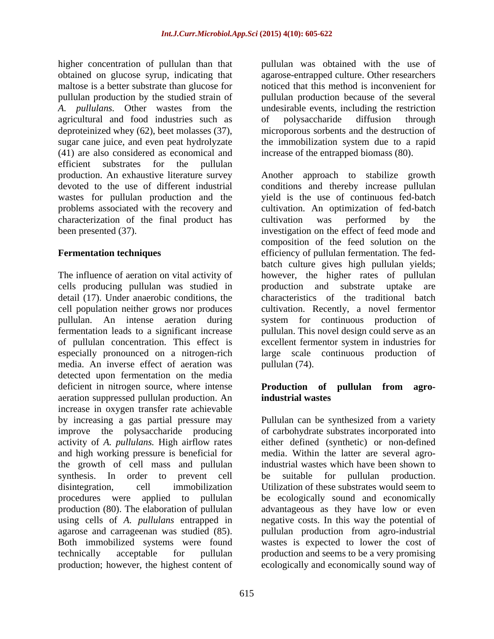higher concentration of pullulan than that obtained on glucose syrup, indicating that maltose is a better substrate than glucose for pullulan production by the studied strain of pullulan production because of the several *A. pullulans.* Other wastes from the undesirable events, including the restriction agricultural and food industries such as deproteinized whey (62), beet molasses (37), microporous sorbents and the destruction of sugar cane juice, and even peat hydrolyzate the immobilization system due to a rapid (41) are also considered as economical and efficient substrates for the pullulan characterization of the final product has cultivation was performed by the

The influence of aeration on vital activity of however, the higher rates of pullulan cells producing pullulan was studied in detail (17). Under anaerobic conditions, the characteristics of the traditional batch cell population neither grows nor produces pullulan. An intense aeration during system for continuous production of fermentation leads to a significant increase pullulan. This novel design could serve as an of pullulan concentration. This effect is excellent fermentor system in industries for especially pronounced on a nitrogen-rich large scale continuous production of media. An inverse effect of aeration was pullulan (74). detected upon fermentation on the media deficient in nitrogen source, where intense **Production** of **pullulan** from agroaeration suppressed pullulan production. An increase in oxygen transfer rate achievable by increasing a gas partial pressure may improve the polysaccharide producing of carbohydrate substrates incorporated into activity of *A. pullulans.* High airflow rates and high working pressure is beneficial for media. Within the latter are several agrothe growth of cell mass and pullulan synthesis. In order to prevent cell be suitable for pullulan production. disintegration, cell immobilization Utilization of these substrates would seem to procedures were applied to pullulan be ecologically sound and economically production (80). The elaboration of pullulan advantageous as they have low or even using cells of *A. pullulans* entrapped in negative costs. In this way the potential of agarose and carrageenan was studied (85). pullulan production from agro-industrial Both immobilized systems were found wastes is expected to lower the cost of technically acceptable for pullulan production and seems to be a very promising

pullulan was obtained with the use of agarose-entrapped culture. Other researchers noticed that this method is inconvenient for of polysaccharide diffusion through increase of the entrapped biomass (80).

production. An exhaustive literature survey Another approach to stabilize growth devoted to the use of different industrial conditions and thereby increase pullulan wastes for pullulan production and the yield is the use of continuous fed-batch problems associated with the recovery and cultivation. An optimization of fed-batch been presented (37). investigation on the effect of feed mode and **Fermentation techniques** efficiency of pullulan fermentation. The fed cultivation was performed by the composition of the feed solution on the batch culture gives high pullulan yields; production and substrate cultivation. Recently, a novel fermentor pullulan (74).

# **Production of pullulan from agroindustrial wastes**

production; however, the highest content of ecologically and economically sound way ofPullulan can be synthesized from a variety either defined (synthetic) or non-defined industrial wastes which have been shown to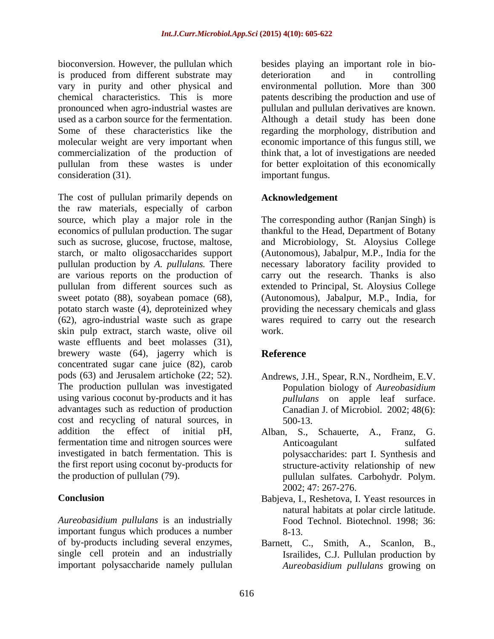bioconversion. However, the pullulan which besides playing an important role in bio is produced from different substrate may deterioration and in controlling vary in purity and other physical and environmental pollution. More than 300 chemical characteristics. This is more patents describing the production and useof pronounced when agro-industrial wastes are pullulan and pullulan derivatives are known. used as a carbon source for the fermentation. Although a detail study has been done Some of these characteristics like the regarding the morphology, distribution and molecular weight are very important when economic importance of this fungus still, we commercialization of the production of pullulan from these wastes is under for better exploitation of this economically consideration (31). important fungus.

The cost of pullulan primarily depends on the raw materials, especially of carbon source, which play a major role in the The corresponding author (Ranjan Singh) is economics of pullulan production. The sugar thankful to the Head, Department of Botany such as sucrose, glucose, fructose, maltose, and Microbiology, St. Aloysius College starch, or malto oligosaccharides support (Autonomous), Jabalpur, M.P., India for the pullulan production by *A. pullulans.* There necessary laboratory facility provided to are various reports on the production of carry out the research. Thanks is also pullulan from different sources such as extended to Principal, St. Aloysius College sweet potato (88), soyabean pomace (68), (Autonomous), Jabalpur, M.P., India, for potato starch waste (4), deproteinized whey providing the necessary chemicals and glass (62), agro-industrial waste such as grape wares required to carry out the research skin pulp extract, starch waste, olive oil waste effluents and beet molasses (31), brewery waste (64), jagerry which is **Reference** concentrated sugar cane juice (82), carob pods (63) and Jerusalem artichoke (22; 52). Andrews, J.H., Spear, R.N., Nordheim, E.V.<br>The production pullulan was investigated Population biology of *Aureobasidium* using various coconut by-products and it has advantages such as reduction of production cost and recycling of natural sources, in addition the effect of initial pH, Alban, S., Schauerte, A., Franz, G. fermentation time and nitrogen sources were **Anticoagulant** sulfated investigated in batch fermentation. This is polysaccharides: part I. Synthesis and the first report using coconut by-products for

*Aureobasidium pullulans* is an industrially important fungus which produces a number of by-products including several enzymes, Barnett, C., Smith, A., Scanlon, B., single cell protein and an industrially important polysaccharide namely pullulan

deterioration and in controlling think that, a lot of investigations are needed

### **Acknowledgement**

work.

# **Reference**

- Andrews, J.H., Spear, R.N., Nordheim, E.V. Population biology of *Aureobasidium pullulans* on apple leaf surface. Canadian J. of Microbiol. 2002; 48(6): 500-13.
- the production of pullulan (79). pullulan sulfates. Carbohydr. Polym. Anticoagulant sulfated structure-activity relationship of new 2002; 47: 267-276.
- **Conclusion** Babjeva, I., Reshetova, I. Yeast resources in natural habitats at polar circle latitude. Food Technol. Biotechnol. 1998; 36: 8-13.
	- Israilides, C.J. Pullulan production by *Aureobasidium pullulans* growing on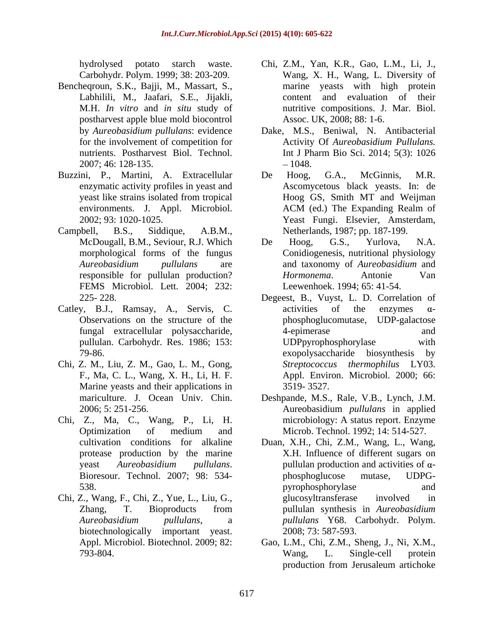- Bencheqroun, S.K., Bajji, M., Massart, S., postharvest apple blue mold biocontrol 2007; 46: 128-135.
- Buzzini, P., Martini, A. Extracellular De Hoog, G.A., McGinnis, M.R.
- Campbell, B.S., Siddique, A.B.M., Netherlands, 1987; pp. 187-199. FEMS Microbiol. Lett. 2004; 232:
- Catley, B.J., Ramsay, A., Servis, C. activities of the enzymes  $\alpha$ -
- Chi, Z. M., Liu, Z. M., Gao, L. M., Gong, Marine yeasts and their applications in 3519-3527.
- Chi, Z., Ma, C., Wang, P., Li, H.
- 
- hydrolysed potato starch waste. Chi, Z.M., Yan, K.R., Gao, L.M., Li, J., Carbohydr. Polym. 1999; 38: 203-209. Wang, X. H., Wang, L. Diversity of Labhilili, M., Jaafari, S.E., Jijakli, content and evaluation of their M.H. *In vitro* and *in situ* study of nutritive compositions. J. Mar. Biol. marine yeasts with high protein Assoc. UK, 2008; 88: 1-6.
- by *Aureobasidium pullulans*: evidence Dake, M.S., Beniwal, N. Antibacterial for the involvement of competition for Activity Of *Aureobasidium Pullulans.* nutrients. Postharvest Biol. Technol. Int J Pharm Bio Sci. 2014; 5(3): 1026 Int J Pharm Bio Sci. 2014; 5(3): 1026 1048.
- enzymatic activity profiles in yeast and Ascomycetous black yeasts. In: de yeast like strains isolated from tropical environments. J. Appl. Microbiol. ACM (ed.) The Expanding Realm of 2002; 93: 1020-1025. Yeast Fungi. Elsevier, Amsterdam, 2002; 93: 1020-1025. Yeast Fungi. Elsevier, Amsterdam, De Hoog, G.A., McGinnis, M.R. Hoog GS, Smith MT and Weijman ACM (ed.) The Expanding Realm of
- McDougall, B.M., Seviour, R.J. Which morphological forms of the fungus Conidiogenesis, nutritional physiology *Aureobasidium pullulans* are and taxonomy of *Aureobasidium* and responsible for pullulan production? *Hormonema*. Antonie Van De Hoog, G.S., Yurlova, N.A. *Hormonema*. Antonie Van Leewenhoek. 1994; 65: 41-54.
- 225- 228. Degeest, B., Vuyst, L. D. Correlation of Observations on the structure of the phosphoglucomutase, UDP-galactose fungal extracellular polysaccharide, pullulan. Carbohydr. Res. 1986; 153: 79-86. exopolysaccharide biosynthesis by F., Ma, C. L., Wang, X. H., Li, H. F. Appl. Environ. Microbiol. 2000; 66: activities of the enzymes  $\alpha$ -4-epimerase and UDPpyrophosphorylase with *Streptococcus thermophilus* LY03. 3519- 3527.
- mariculture. J. Ocean Univ. Chin. Deshpande, M.S., Rale, V.B., Lynch, J.M. 2006; 5: 251-256. Aureobasidium *pullulans* in applied Optimization of medium and Microb. Technol. 1992; 14: 514-527. microbiology: A status report. Enzyme Microb. Technol. 1992; 14: 514-527.
- cultivation conditions for alkaline Duan, X.H., Chi, Z.M., Wang, L., Wang, protease production by the marine X.H. Influence of different sugars on yeast *Aureobasidium pullulans*. Bioresour. Technol. 2007; 98: 534- 538. and the state of the state of the pyrophosphorylase and and the state of the state of the state of the state of the state of the state of the state of the state of the state of the state of the state of the state of t Chi, Z., Wang, F., Chi, Z., Yue, L., Liu, G., Zhang, T. Bioproducts from pullulan synthesis in Aureobasidium *Aureobasidium pullulans*, a *pullulans* Y68. Carbohydr. Polym. biotechnologically important yeast. 2008; 73: 587-593. pullulan production and activities of  $\alpha$ phosphoglucose mutase, UDPG pyrophosphorylase and glucosyltransferase involved in pullulan synthesis in *Aureobasidium*  2008; 73: 587-593.
	- Appl. Microbiol. Biotechnol. 2009; 82: Gao, L.M., Chi, Z.M., Sheng, J., Ni, X.M., 793-804. Wang, L. Single-cell protein production from Jerusaleum artichoke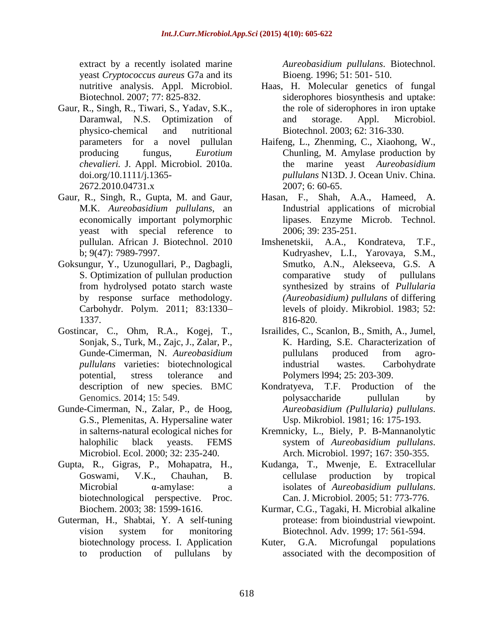extract by a recently isolated marine *Aureobasidium pullulans*. Biotechnol. yeast *Cryptococcus aureus* G7a and its

- Gaur, R., Singh, R., Tiwari, S., Yadav, S.K., *chevalieri.* J. Appl. Microbiol. 2010a.
- M.K. *Aureobasidium pullulans*, an economically important polymorphic yeast with special reference to
- 
- 
- Microbiol. Ecol. 2000; 32: 235-240.
- Gupta, R., Gigras, P., Mohapatra, H., biotechnological perspective. Proc. Can. J. Microbiol. 2005; 51: 773-776.<br>Biochem. 2003: 38: 1599-1616. Kurmar, C.G., Tagaki, H. Microbial alkalin
- Guterman, H., Shabtai, Y. A self-tuning protease: from bioindustrial viewpoint. biotechnology process. I. Application Kuter, G.A.

Bioeng. 1996; 51: 501- 510.

- nutritive analysis. Appl. Microbiol. Haas, H. Molecular genetics of fungal Biotechnol. 2007; 77: 825-832. siderophores biosynthesis and uptake: Daramwal, N.S. Optimization of physico-chemical and nutritional Biotechnol. 2003; 62: 316-330. the role of siderophores in iron uptake and storage. Appl. Microbiol.
- parameters for a novel pullulan Haifeng, L., Zhenming, C., Xiaohong, W., producing fungus, *Eurotium*  Chunling, M. Amylase production by doi.org/10.1111/j.1365- *pullulans* N13D. J. Ocean Univ. China. 2672.2010.04731.x 2007; 6: 60-65. the marine yeast *Aureobasidium*  2007; 6: 60-65.
- Gaur, R., Singh, R., Gupta, M. and Gaur, Hasan, F., Shah, A.A., Hameed, A. Industrial applications of microbial lipases. Enzyme Microb. Technol. 2006; 39: 235-251.
- pullulan. African J. Biotechnol. 2010 Imshenetskii, A.A., Kondrateva, T.F., b; 9(47): 7989-7997. Kudryashev, L.I., Yarovaya, S.M., Goksungur, Y., Uzunogullari, P., Dagbagli, S. Optimization of pullulan production comparative study of pullulans from hydrolysed potato starch waste synthesized by strains of *Pullularia*  by response surface methodology. *(Aureobasidium) pullulans* of differing Carbohydr. Polym. 2011; 83:1330 levels of ploidy. Mikrobiol. 1983; 52: 1337. Imshenetskii, A.A., Kondrateva, Smutko, A.N., Alekseeva, G.S. A comparative study of pullulans 816-820.
- Gostincar, C., Ohm, R.A., Kogej, T., Israilides, C., Scanlon, B., Smith, A., Jumel, Sonjak, S., Turk, M., Zajc, J., Zalar, P., K. Harding, S.E. Characterization of Gunde-Cimerman, N. *Aureobasidium* pullulans produced from agro*pullulans* varieties: biotechnological potential, stress tolerance and Polymers l994; 25: 203-309. pullulans produced from agroindustrial wastes. Carbohydrate
- description of new species. BMC Kondratyeva, T.F. Production of the Genomics. 2014; 15: 549. The polysaccharide pullular by Gunde-Cimerman, N., Zalar, P., de Hoog, *Aureobasidium (Pullularia) pullulans.* G.S., Plemenitas, A. Hypersaline water Usp. Mikrobiol. 1981; 16: 175-193. polysaccharide pullulan by *Aureobasidium (Pullularia) pullulans*. Usp. Mikrobiol. 1981; 16: 175-193.
	- in salterns-natural ecological niches for Kremnicky, L., Biely, P. B-Mannanolytic halophilic black yeasts. FEMS system of Aureobasidium pullulans.<br>Microbiol. Ecol. 2000; 32: 235-240. Arch. Microbiol. 1997: 167: 350-355. system of *Aureobasidium pullulans*. Arch. Microbiol. 1997; 167: 350-355.
	- Goswami, V.K., Chauhan, B. Microbial  $\alpha$ -amylase: a isolates of *Aureobasidium pullulans*. Kudanga, T., Mwenje, E. Extracellular cellulase production by tropical isolates of *Aureobasidium pullulans*. Can. J. Microbiol. 2005; 51: 773-776.
	- Biochem. 2003; 38: 1599-1616. Kurmar, C.G., Tagaki, H. Microbial alkaline vision system for monitoring Biotechnol. Adv. 1999; 17: 561-594. protease: from bioindustrial viewpoint. Biotechnol. Adv. 1999; 17: 561-594.
	- to production of pullulans by associated with the decomposition ofMicrofungal populations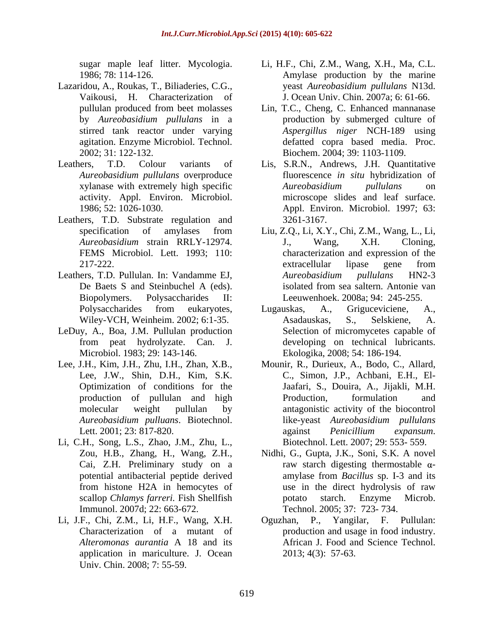- Lazaridou, A., Roukas, T., Biliaderies, C.G., executed veast Aureobasidium pullulans N13d. Vaikousi, H. Characterization of
- 
- Leathers, T.D. Substrate regulation and 3261-3167.
- Leathers, T.D. Pullulan. In: Vandamme EJ, *Aureobasidium pullulans* HN2-3
- LeDuy, A., Boa, J.M. Pullulan production
- 
- Li, C.H., Song, L.S., Zhao, J.M., Zhu, L., Cai, Z.H. Preliminary study on a Immunol. 2007d; 22: 663-672.
- application in mariculture. J. Ocean
- sugar maple leaf litter. Mycologia. Li, H.F., Chi, Z.M., Wang, X.H., Ma, C.L. 1986; 78: 114-126. Amylase production by the marine yeast *Aureobasidium pullulans* N13d. J. Ocean Univ. Chin. 2007a; 6: 61-66.
- pullulan produced from beet molasses Lin, T.C., Cheng, C. Enhanced mannanase by *Aureobasidium pullulans* in a production by submerged culture of stirred tank reactor under varying *Aspergillus niger* NCH-189 using agitation. Enzyme Microbiol. Technol. defatted copra based media. Proc. 2002; 31: 122-132. Biochem. 2004; 39: 1103-1109. Lin, T.C., Cheng, C. Enhanced mannanase
- Leathers, T.D. Colour variants of Lis, S.R.N., Andrews, J.H. Quantitative *Aureobasidium pullulans* overproduce fluorescence *in situ* hybridization of xylanase with extremely high specific  $Aureobasidium$  pullulans on activity. Appl. Environ. Microbiol. microscope slides and leaf surface. 1986; 52: 1026-1030. Appl. Environ. Microbiol. 1997; 63: *Aureobasidium pullulans* on 3261-3167.
	- specification of amylases from Liu, Z.Q., Li, X.Y., Chi, Z.M., Wang, L., Li, *Aureobasidium* strain RRLY-12974. FEMS Microbiol. Lett. 1993; 110: characterization and expression of the 217-222. 217-222. De Baets S and Steinbuchel A (eds). isolated from sea saltern. Antonie van Biopolymers. Polysaccharides II: Leeuwenhoek. 2008a; 94: 245-255. J., Wang, X.H. Cloning, extracellular lipase gene from *Aureobasidium pullulans* HN2-3 isolated from sea saltern. Antonie van
	- Polysaccharides from eukaryotes, Lugauskas, A., Griguceviciene, A., Wiley-VCH, Weinheim. 2002; 6:1-35. Asadauskas, S., Selskiene, A. from peat hydrolyzate. Can. J. developing on technical lubricants. Microbiol. 1983; 29: 143-146. Ekologika, 2008; 54: 186-194. Lugauskas, A., Griguceviciene, A., Asadauskas, S., Selskiene, A. Selection of micromycetes capable of
- Lee, J.H., Kim, J.H., Zhu, I.H., Zhan, X.B., Mounir, R., Durieux, A., Bodo, C., Allard, Lee, J.W., Shin, D.H., Kim, S.K. C., Simon, J.P., Achbani, E.H., El- Optimization of conditions for the Jaafari, S., Douira, A., Jijakli, M.H. production of pullulan and high molecular weight pullulan by antagonistic activity of the biocontrol *Aureobasidium pulluans*. Biotechnol. Lett. 2001; 23: 817-820. The against *Penicillium expansum*. symptom basis and tar fitter. Mycologia. Li, H.F., Chi, Z.M., Wang, X.H., Ma, C.L. Amylase production publishes production by the marine publishes production  $\mu$  and  $\mu$  and  $\mu$  and  $\mu$  and  $\mu$  and  $\mu$  and  $\mu$  and Production, formulation and like-yeast *Aureobasidium pullulans*  against *Penicillium expansum*. Biotechnol. Lett. 2007; 29: 553- 559.
	- Zou, H.B., Zhang, H., Wang, Z.H., Nidhi, G., Gupta, J.K., Soni, S.K. A novel potential antibacterial peptide derived amylase from *Bacillus* sp. I-3 and its from histone H2A in hemocytes of scallop *Chlamys farreri.* Fish Shellfish raw starch digesting thermostable  $\alpha$ amylase from *Bacillus* sp. I-3 and its use in the direct hydrolysis of raw potato starch. Enzyme Microb. Technol. 2005; 37: 723- 734.
- Li, J.F., Chi, Z.M., Li, H.F., Wang, X.H. Oguzhan, P., Yangilar, F. Pullulan: Characterization of a mutant of production and usage in food industry. *Alteromonas aurantia* A 18 and its African J. Food and Science Technol. 2013; 4(3): 57-63.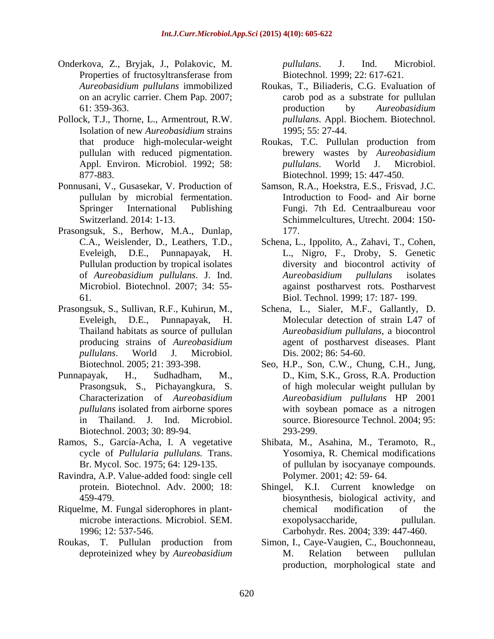- Onderkova, Z., Bryjak, J., Polakovic, M. Properties of fructosyltransferase from Biotechnol. 1999; 22: 617-621.
- Pollock, T.J., Thorne, L., Armentrout, R.W. Isolation of new *Aureobasidium* strains
- Ponnusani, V., Gusasekar, V. Production of
- Prasongsuk, S., Berhow, M.A., Dunlap, 177.
- Prasongsuk, S., Sullivan, R.F., Kuhirun, M.,
- Characterization of *Aureobasidium*  Biotechnol. 2003; 30: 89-94. 293-299.
- cycle of *Pullularia pullulans.* Trans.
- Ravindra, A.P. Value-added food: single cell
- 1996; 12: 537-546. Carbohydr. Res. 2004; 339: 447-460.
- 

*pullulans*. J. Ind. Microbiol. Biotechnol. 1999; 22: 617-621.

- *Aureobasidium pullulans* immobilized Roukas, T., Biliaderis, C.G. Evaluation of on an acrylic carrier. Chem Pap. 2007; 61: 359-363. carob pod as a substrate for pullulan production by *Aureobasidium pullulans*. Appl. Biochem. Biotechnol. 1995; 55: 27-44.
- that produce high-molecular-weight Roukas, T.C. Pullulan production from pullulan with reduced pigmentation. brewery wastes by *Aureobasidium*  Appl. Environ. Microbiol. 1992; 58: *pullulans*. World J. Microbiol. 877-883. Biotechnol. 1999; 15: 447-450. *pullulans*. World J. Microbiol.
- pullulan by microbial fermentation. Introduction to Food- and Air borne Springer International Publishing Fungi. 7th Ed. Centraalbureau voor Switzerland. 2014: 1-13. Schimmelcultures, Utrecht. 2004: 150- Samson, R.A., Hoekstra, E.S., Frisvad, J.C. 177.
- C.A., Weislender, D., Leathers, T.D., Schena, L., Ippolito, A., Zahavi, T., Cohen, Eveleigh, D.E., Punnapayak, H. L., Nigro, F., Droby, S. Genetic Pullulan production by tropical isolates diversity and biocontrol activity of of *Aureobasidium pullulans*. J. Ind. Microbiol. Biotechnol. 2007; 34: 55- against postharvest rots. Postharvest 61. Biol. Technol. 1999; 17: 187- 199. *Aureobasidium pullulans* isolates
- Eveleigh, D.E., Punnapayak, H. Molecular detection of strain L47 of Thailand habitats as source of pullulan *Aureobasidium pullulans*, a biocontrol producing strains of *Aureobasidium*  agent of postharvest diseases. Plant *pullulans*. World J. Microbiol. Schena, L., Sialer, M.F., Gallantly, D. Dis. 2002; 86: 54-60.
- Biotechnol. 2005; 21: 393-398. Seo, H.P., Son, C.W., Chung, C.H., Jung, Punnapayak, H., Sudhadham, M., D., Kim, S.K., Gross, R.A. Production Prasongsuk, S., Pichayangkura, S. of high molecular weight pullulan by *pullulans* isolated from airborne spores with soybean pomace as a nitrogen in Thailand. J. Ind. Microbiol. source. Bioresource Technol. 2004; 95: *Aureobasidium pullulans* HP 2001 with soybean pomace as a nitrogen 293-299.
- Ramos, S., García-Acha, I. A vegetative Shibata, M., Asahina, M., Teramoto, R., Br. Mycol. Soc. 1975; 64: 129-135. of pullulan by isocyanaye compounds. Yosomiya, R. Chemical modifications Polymer. 2001; 42: 59- 64.
- protein. Biotechnol. Adv. 2000; 18: Shingel, K.I. Current knowledge on 459-479. biosynthesis, biological activity, and Riquelme, M. Fungal siderophores in plant-<br>chemical modification of the microbe interactions. Microbiol. SEM. exopolysaccharide, pullulan. chemical modification of the exopolysaccharide,
- Roukas, T. Pullulan production from Simon, I., Caye-Vaugien, C., Bouchonneau, deproteinized whey by *Aureobasidium* Simon, I., Caye-Vaugien, C., Bouchonneau, M. Relation between pullulan production, morphological state and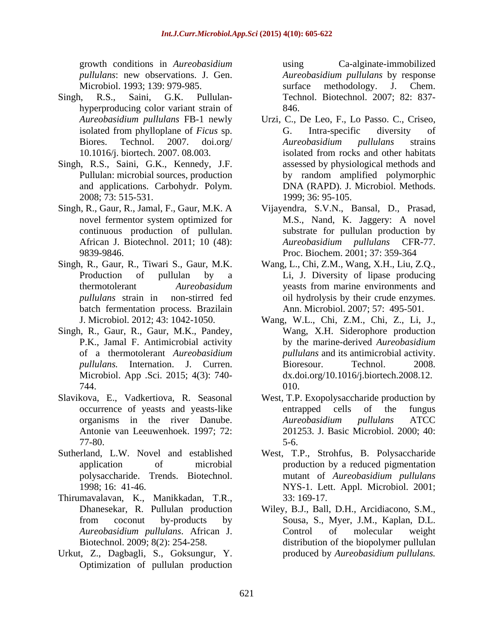growth conditions in *Aureobasidium*  Microbiol. 1993; 139: 979-985. Surface methodology. J. Chem.

- Singh, R.S., Saini, G.K. Pullulan- Technol. Biotechnol. 2007; 82: 837 hyperproducing color variant strain of 846.
- Singh, R.S., Saini, G.K., Kennedy, J.F. and applications. Carbohydr. Polym. 2008; 73: 515-531.
- novel fermentor system optimized for
- Singh, R., Gaur, R., Tiwari S., Gaur, M.K. Wang, L., Chi, Z.M., Wang, X.H., Liu, Z.Q., batch fermentation process. Brazilain
- Singh, R., Gaur, R., Gaur, M.K., Pandey, Microbiol. App .Sci. 2015; 4(3): 740-
- Slavikova, E., Vadkertiova, R. Seasonal
- 
- Thirumavalavan, K., Manikkadan, T.R.,
- Urkut, Z., Dagbagli, S., Goksungur, Y. Optimization of pullulan production

*pullulans*: new observations. J. Gen. *Aureobasidium pullulans* by response Ca-alginate-immobilized surface methodology. J. Chem. 846.

- *Aureobasidium pullulans* FB-1 newly Urzi, C., De Leo, F., Lo Passo. C., Criseo, isolated from phylloplane of *Ficus* sp. Biores. Technol. 2007. doi.org/ *Aureobasidium pullulans* strains 10.1016/j. biortech. 2007. 08.003. Pullulan: microbial sources, production by random amplified polymorphic G. Intra-specific diversity of *Aureobasidium pullulans* strains isolated from rocks and other habitats assessed by physiological methods and DNA (RAPD). J. Microbiol. Methods. 1999; 36: 95-105.
- Singh, R., Gaur, R., Jamal, F., Gaur, M.K. A Vijayendra, S.V.N., Bansal, D., Prasad, continuous production of pullulan. substrate for pullulan production by African J. Biotechnol. 2011; 10 (48): Aureobasidium pullulans CFR-77. 9839-9846. Proc. Biochem. 2001; 37: 359-364 M.S., Nand, K. Jaggery: A novel *Aureobasidium pullulans* CFR-77.
	- Production of pullulan by a Li, J. Diversity of lipase producing thermotolerant *Aureobasidum*  yeasts from marine environments and *pullulans* strain in non-stirred fed oil hydrolysis by their crude enzymes. Ann. Microbiol. 2007; 57: 495-501.
	- J. Microbiol. 2012; 43: 1042-1050. Wang, W.L., Chi, Z.M., Chi, Z., Li, J., P.K., Jamal F. Antimicrobial activity by the marine-derived *Aureobasidium*  of a thermotolerant *Aureobasidium pullulans* and its antimicrobial activity. *pullulans.* Internation. J. Curren. 744. Wang, X.H. Siderophore production Bioresour. Technol. 2008. dx.doi.org/10.1016/j.biortech.2008.12. 010.
	- occurrence of yeasts and yeasts-like organisms in the river Danube. Antonie van Leeuwenhoek. 1997; 72: 201253. J. Basic Microbiol. 2000; 40: 77-80. West, T.P. Exopolysaccharide production by entrapped cells of the fungus *Aureobasidium pullulans* ATCC 5-6.
- Sutherland, L.W. Novel and established West, T.P., Strohfus, B. Polysaccharide application of microbial production by a reduced pigmentation polysaccharide. Trends. Biotechnol. 1998; 16: 41-46. NYS-1. Lett. Appl. Microbiol. 2001; mutant of *Aureobasidium pullulans* 33: 169-17.
	- Dhanesekar, R. Pullulan production Wiley, B.J., Ball, D.H., Arcidiacono, S.M., from coconut by-products by Sousa, S., Myer, J.M., Kaplan, D.L. *Aureobasidium pullulans*. African J. Biotechnol. 2009; 8(2): 254-258. distribution of the biopolymer pullulan Control of molecular weight produced by *Aureobasidium pullulans.*